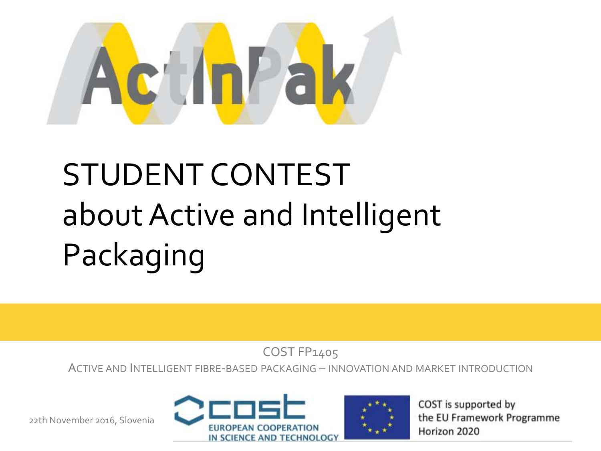

# STUDENT CONTEST about Active and Intelligent Packaging

COST FP1405

ACTIVE AND INTELLIGENT FIBRE-BASED PACKAGING – INNOVATION AND MARKET INTRODUCTION

22th November 2016, Slovenia





COST is supported by the EU Framework Programme Horizon 2020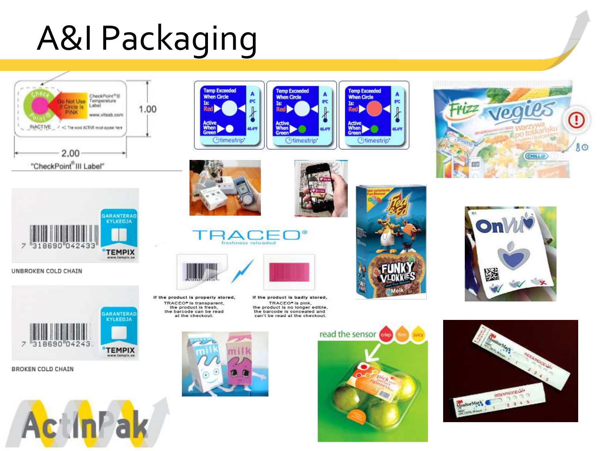# A&I Packaging





UNBROKEN COLD CHAIN



**BROKEN COLD CHAIN** 







A

**SAC** 

 $\frac{1}{2}$ 















If the product is badly stored, TRACEO\* Is pink, the product is no longer edible. the barcode is concealed and can't be read at the checkout.









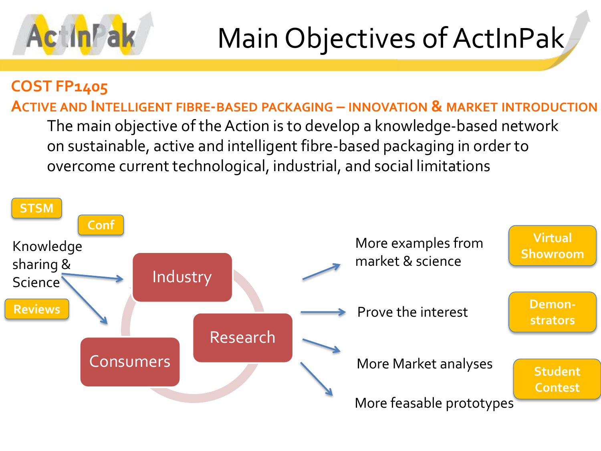

## Main Objectives of ActInPak

### **COST FP1405**

The main objective of the Action is to develop a knowledge-based network on sustainable, active and intelligent fibre-based packaging in order to overcome current technological, industrial, and social limitations **ACTIVE AND INTELLIGENT FIBRE-BASED PACKAGING – INNOVATION & MARKET INTRODUCTION**

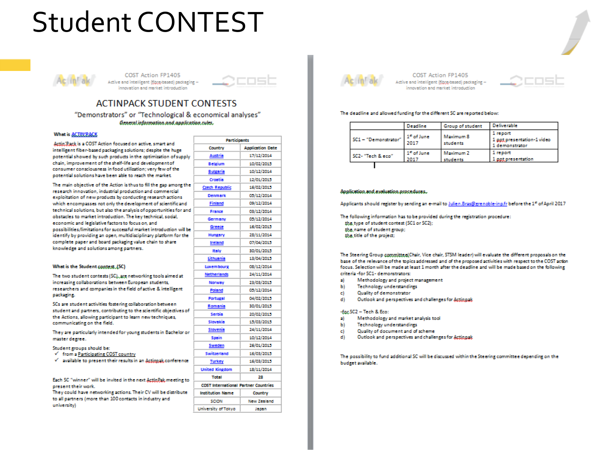## **Student CONTEST**



COST Action FP1405 Active and intelligent (@pre-based) packaging innovation and market introduction



#### **ACTINPACK STUDENT CONTESTS** "Demonstrators" or "Technological & economical analyses"

General information and application rules.

#### **What is ACTIN'PACK**

Actin Pack is a COST Action focused on active, smart and intelligent fiber-based packaging solutions; despite the huge potential showed by such products in the optimization of sup chain, improvement of the shelf-life and development of consumer consciousness in food utilization: very few of the potential solutions have been able to reach the market.

The main objective of the Action is thus to fill the gap among research innovation, industrial production and commercial exploitation of new products by conducting research actions which encompasses not only the development of scientific ar technical solutions, but also the analysis of opportunities for obstacles to market introduction. The key technical, social, economic and legislative factors to focus on, and possibilities/limitations for successful market introduction wi identify by providing an open, multidisciplinary platform for complete paper and board packaging value chain to share knowledge and solutions among partners.

#### What is the Student contest. (SC)

The two student contests (SC), are networking tools aimed at increasing collaborations between European students, researchers and companies in the field of active & intelligent packaging.

SCs are student activities fostering collaboration between student and partners, contributing to the scientific objective: the Actions, allowing participant to learn new techniques, communicating on the field.

They are particularly intended for young students in Bachelor master decree.

Student groups should be:

 $\checkmark$  from a Participating COST country

 $\checkmark$  -available to present their results in an Actional conferer

Each SC "winner" will be invited in the next ActloPak.meeting present their work.

They could have networking actions. Their CV will be distribu to all partners (more than 100 contacts in industry and university)

|       | <b>Participants</b>                         |                                                                                  |  |  |
|-------|---------------------------------------------|----------------------------------------------------------------------------------|--|--|
|       | Country                                     | <b>Application Date</b>                                                          |  |  |
| oply  | Austria                                     | 17/12/2014                                                                       |  |  |
|       | Belgium                                     | 10/02/2015                                                                       |  |  |
|       | <b>Bulgaria</b>                             | 10/12/2014                                                                       |  |  |
| : the | Croatia                                     | 12/01/2015                                                                       |  |  |
|       | <b>Czech Republic</b>                       | 16/02/2015                                                                       |  |  |
|       | <b>Denmark</b>                              | 05/12/2014                                                                       |  |  |
| nd    | Finland                                     | 09/12/2014                                                                       |  |  |
| and   | France                                      | 03/12/2014                                                                       |  |  |
|       | Germany                                     | 05/12/2014                                                                       |  |  |
| il be | Greece                                      | 16/02/2015                                                                       |  |  |
| the   | Hungary                                     | 28/11/2014                                                                       |  |  |
|       | Ireland                                     | 07/04/2015                                                                       |  |  |
|       | <b>Italy</b>                                | 30/01/2015                                                                       |  |  |
|       | Lithuania                                   | 13/04/2015                                                                       |  |  |
|       | <b>Luxembourg</b>                           | 08/12/2014                                                                       |  |  |
| ŧ     | <b>Netherlands</b>                          | 24/11/2014                                                                       |  |  |
|       | Norway                                      | 23/03/2015                                                                       |  |  |
| í     | Poland                                      | 05/12/2014                                                                       |  |  |
|       | Portugal                                    | 04/02/2015                                                                       |  |  |
|       | Romania                                     | 30/01/2015                                                                       |  |  |
| s of  | Serbia                                      | 20/02/2015<br>15/03/2015<br>24/11/2014<br>10/12/2014<br>26/01/2015<br>16/03/2015 |  |  |
|       | Slovakia                                    |                                                                                  |  |  |
| r or  | Slovenia                                    |                                                                                  |  |  |
|       | Spain                                       |                                                                                  |  |  |
|       | <u>Sweden</u>                               |                                                                                  |  |  |
| nœ    | Switzerland                                 |                                                                                  |  |  |
|       | <b>Turkey</b>                               | 16/03/2015                                                                       |  |  |
|       | <b>United Kingdom</b>                       | 18/11/2014                                                                       |  |  |
| 5 to  | Total                                       | 28                                                                               |  |  |
|       | <b>COST International Partner Countries</b> |                                                                                  |  |  |
| ite   | <b>Institution Name</b>                     | Country                                                                          |  |  |
|       | SCION                                       | <b>New Zealand</b>                                                               |  |  |
|       | University of Tokyo                         | Japan                                                                            |  |  |



COST Action FP1405 Active and intelligent (@pre-based) packaging innovation and market introduction



#### The deadline and allowed funding for the different SC are reported below:

|                      | Deadline                       | Group of student      | <b>Deliverable</b>                                       |
|----------------------|--------------------------------|-----------------------|----------------------------------------------------------|
| SC1 - "Demonstrator" | 1 <sup>e</sup> of June<br>2017 | Maximum 8<br>students | 1 report<br>1 ppt presentation-1 video<br>1 demonstrator |
| SC2-"Tech & eco"     | 1 <sup>e</sup> of June<br>2017 | Maximum 2<br>students | 1 report<br>1 not presentation                           |

#### Application.and.evaluation.procedures.

Applicants should register by sending an e-mail to Julien.Bras@grenoble-inp.fr before the 1\* of April 2017

The following information has to be provided during the registration procedure: the type of student contest (SC1 or SC2); the name of student group; the title of the project;

The Steering Group committee(Chair, Vice chair, STSM leader) will evaluate the different proposals on the base of the relevance of the topics addressed and of the proposed activities with respect to the COST action focus. Selection will be made at least 1 month after the deadline and will be made based on the following criteria-for SC1- demonstrators:

- a) Methodology and project management
- ы Technology understandings
- c) Quality of demonstrator
- d١ Outlook and perspectives and challenges for Actionals

#### -far.SC2 - Tech & Eco:

- Methodology and market analysis tool a).
- ы **Technology understandings**
- Quality of document and of scheme c)
- ď١ Outlook and perspectives and challenges for Actionals

The possibility to fund additional SC will be discussed within the Steering committee depending on the budget willable.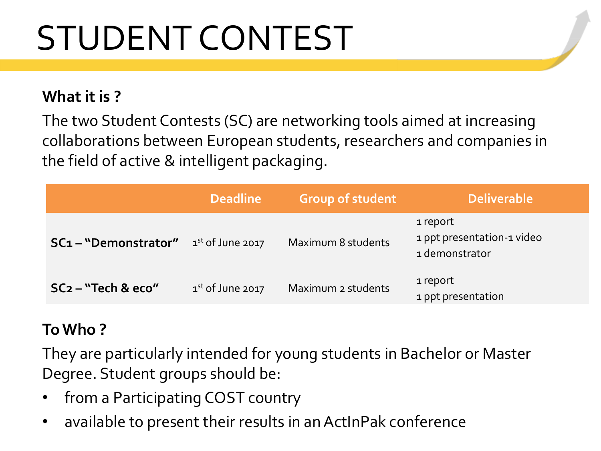# STUDENT CONTEST

### **What it is ?**

The two Student Contests (SC) are networking tools aimed at increasing collaborations between European students, researchers and companies in the field of active & intelligent packaging.

|                       | <b>Deadline</b>              | <b>Group of student</b> | Deliverable                                              |
|-----------------------|------------------------------|-------------------------|----------------------------------------------------------|
| SC1 - "Demonstrator"  | 1 <sup>st</sup> of June 2017 | Maximum 8 students      | 1 report<br>1 ppt presentation-1 video<br>1 demonstrator |
| $SC2 - "Techn & eco"$ | $1st$ of June 2017           | Maximum 2 students      | 1 report<br>1 ppt presentation                           |

### **To Who ?**

They are particularly intended for young students in Bachelor or Master Degree. Student groups should be:

- from a Participating COST country
- available to present their results in an ActInPak conference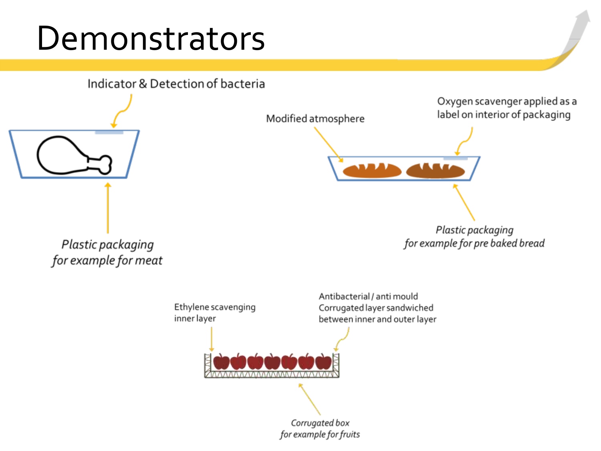## **Demonstrators**

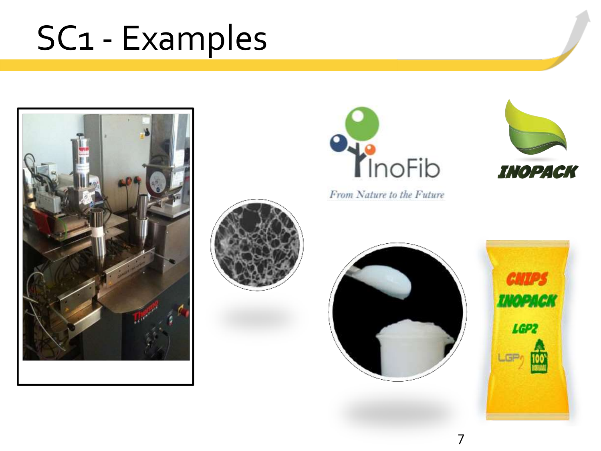## SC1 - Examples







From Nature to the Future







7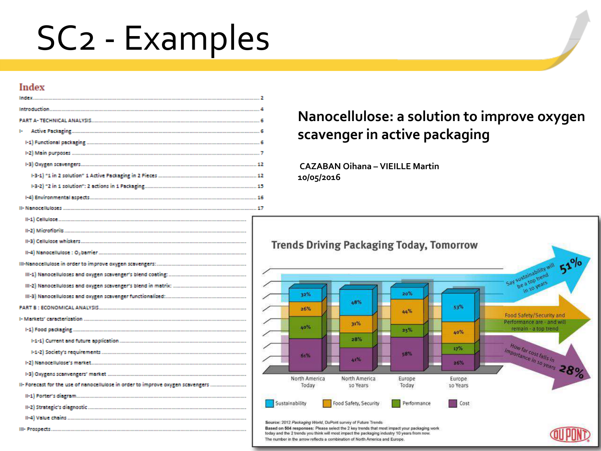## SC2 - Examples

### **Index**

|                                                                                 | z |  |  |  |  |  |
|---------------------------------------------------------------------------------|---|--|--|--|--|--|
|                                                                                 | Ź |  |  |  |  |  |
|                                                                                 | ٧ |  |  |  |  |  |
|                                                                                 |   |  |  |  |  |  |
|                                                                                 |   |  |  |  |  |  |
|                                                                                 |   |  |  |  |  |  |
|                                                                                 |   |  |  |  |  |  |
|                                                                                 |   |  |  |  |  |  |
|                                                                                 |   |  |  |  |  |  |
|                                                                                 | ⊿ |  |  |  |  |  |
| II- Forecast for the use of nanocellulose in order to improve oxygen scavengers |   |  |  |  |  |  |
|                                                                                 |   |  |  |  |  |  |
|                                                                                 |   |  |  |  |  |  |
|                                                                                 |   |  |  |  |  |  |
|                                                                                 |   |  |  |  |  |  |

### **Nanocellulose: a solution to improve oxygen scavenger in active packaging**

**CAZABAN Oihana – VIEILLE Martin 10/05/2016** 

Based on 504 responses: Please select the 2 key trends that most impact your packaging work today and the 2 trends you think will most impact the packaging industry 10 years from now. The number in the arrow reflects a combination of North America and Europe.

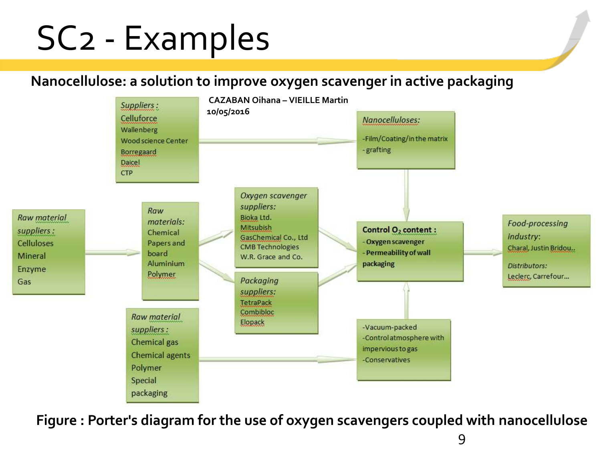## SC2 - Examples

### **Nanocellulose: a solution to improve oxygen scavenger in active packaging**



**Figure : Porter's diagram for the use of oxygen scavengers coupled with nanocellulose**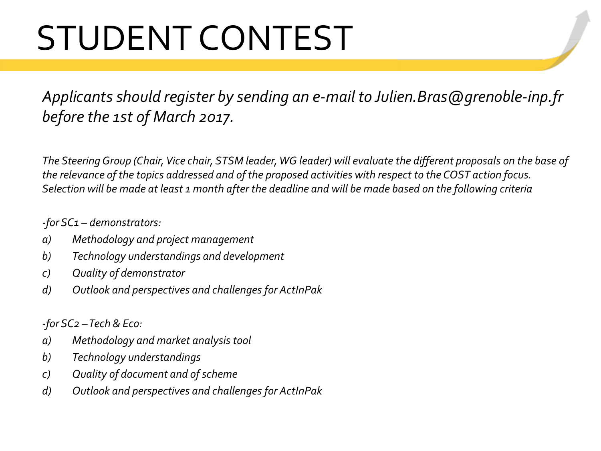# STUDENT CONTEST

*Applicants should register by sending an e-mail to Julien.Bras@grenoble-inp.fr before the 1st of March 2017.*

*The Steering Group (Chair, Vice chair, STSM leader, WG leader) will evaluate the different proposals on the base of the relevance of the topics addressed and of the proposed activities with respect to the COST action focus. Selection will be made at least 1 month after the deadline and will be made based on the following criteria* 

### *-for SC1 – demonstrators:*

- *a) Methodology and project management*
- *b) Technology understandings and development*
- *c) Quality of demonstrator*
- *d) Outlook and perspectives and challenges for ActInPak*

*-for SC2 –Tech & Eco:*

- *a) Methodology and market analysis tool*
- *b) Technology understandings*
- *c) Quality of document and of scheme*
- *d) Outlook and perspectives and challenges for ActInPak*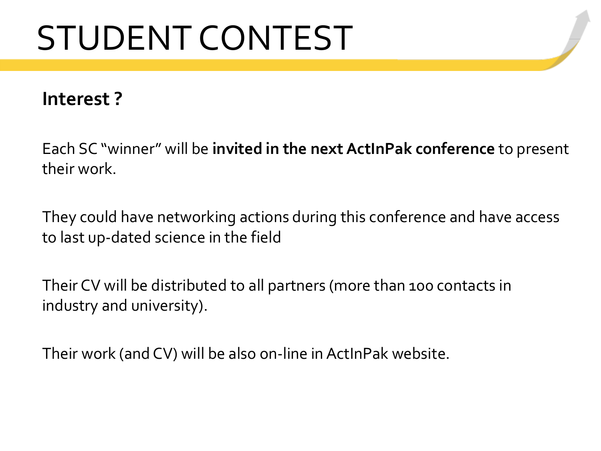# STUDENT CONTEST

### **Interest ?**

Each SC "winner" will be **invited in the next ActInPak conference** to present their work.

They could have networking actions during this conference and have access to last up-dated science in the field

Their CV will be distributed to all partners (more than 100 contacts in industry and university).

Their work (and CV) will be also on-line in ActInPak website.